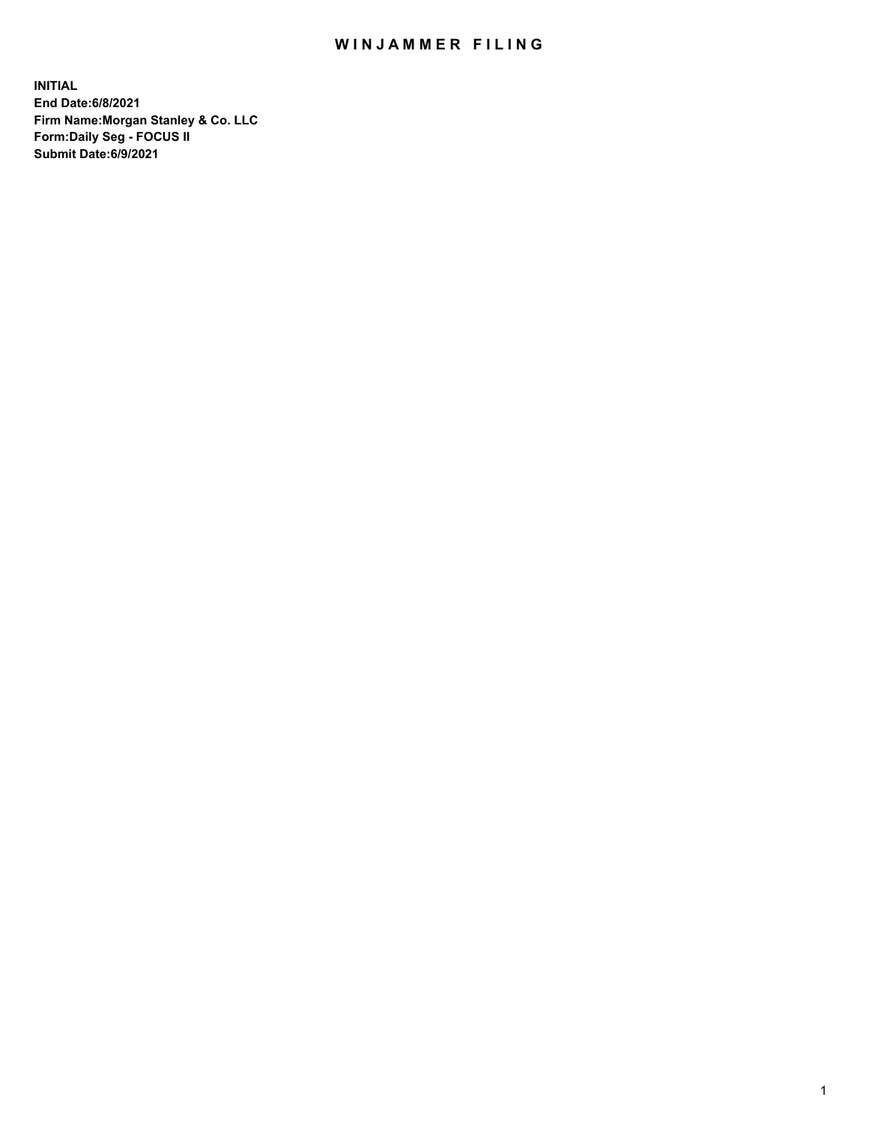## WIN JAMMER FILING

**INITIAL End Date:6/8/2021 Firm Name:Morgan Stanley & Co. LLC Form:Daily Seg - FOCUS II Submit Date:6/9/2021**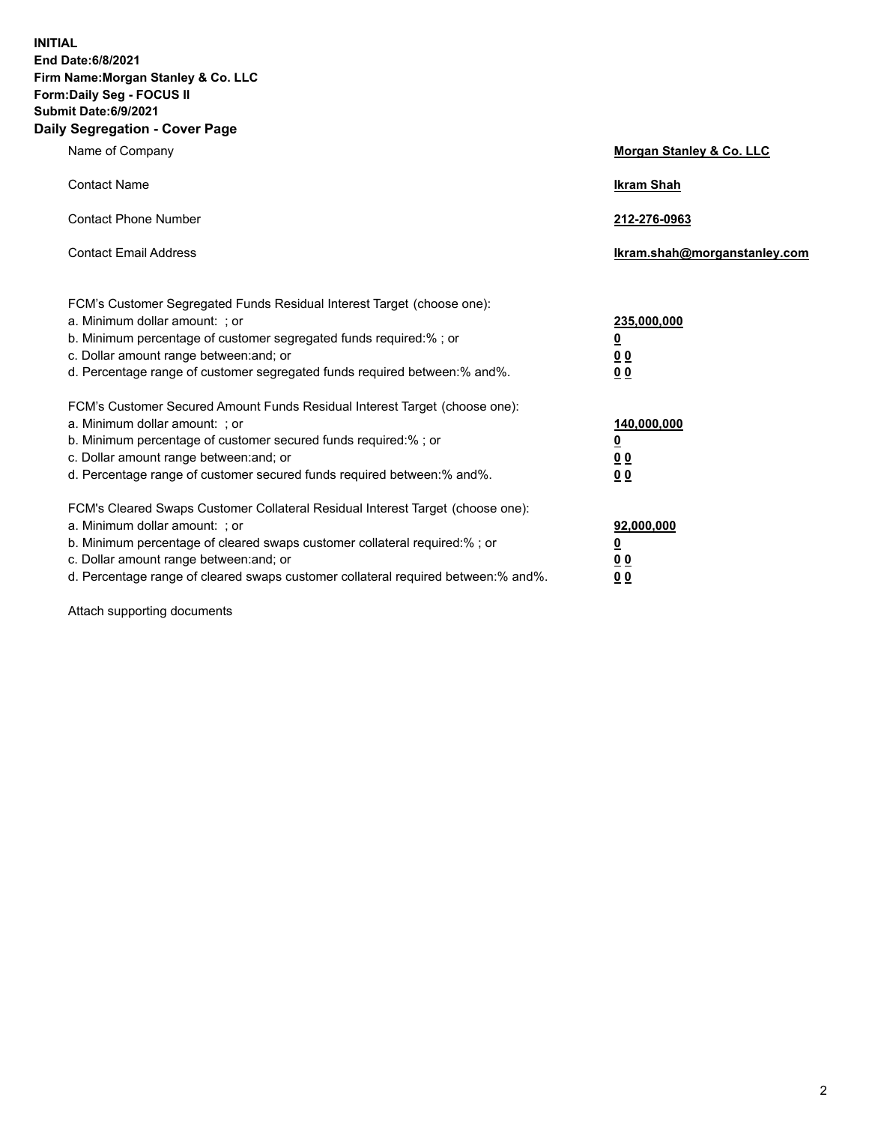**INITIAL End Date:6/8/2021 Firm Name:Morgan Stanley & Co. LLC Form:Daily Seg - FOCUS II Submit Date:6/9/2021 Daily Segregation - Cover Page**

| Name of Company                                                                                                                                                                                                                                                                                                                | Morgan Stanley & Co. LLC                                   |
|--------------------------------------------------------------------------------------------------------------------------------------------------------------------------------------------------------------------------------------------------------------------------------------------------------------------------------|------------------------------------------------------------|
| <b>Contact Name</b>                                                                                                                                                                                                                                                                                                            | <b>Ikram Shah</b>                                          |
| <b>Contact Phone Number</b>                                                                                                                                                                                                                                                                                                    | 212-276-0963                                               |
| <b>Contact Email Address</b>                                                                                                                                                                                                                                                                                                   | lkram.shah@morganstanley.com                               |
| FCM's Customer Segregated Funds Residual Interest Target (choose one):<br>a. Minimum dollar amount: ; or<br>b. Minimum percentage of customer segregated funds required:% ; or<br>c. Dollar amount range between: and; or<br>d. Percentage range of customer segregated funds required between:% and%.                         | 235,000,000<br><u>0</u><br><u>00</u><br>0 <sup>0</sup>     |
| FCM's Customer Secured Amount Funds Residual Interest Target (choose one):<br>a. Minimum dollar amount: ; or<br>b. Minimum percentage of customer secured funds required:%; or<br>c. Dollar amount range between: and; or<br>d. Percentage range of customer secured funds required between:% and%.                            | 140,000,000<br><u>0</u><br><u>0 0</u><br>0 Q               |
| FCM's Cleared Swaps Customer Collateral Residual Interest Target (choose one):<br>a. Minimum dollar amount: ; or<br>b. Minimum percentage of cleared swaps customer collateral required:% ; or<br>c. Dollar amount range between: and; or<br>d. Percentage range of cleared swaps customer collateral required between:% and%. | 92,000,000<br><u>0</u><br>0 <sup>0</sup><br>0 <sub>0</sub> |

Attach supporting documents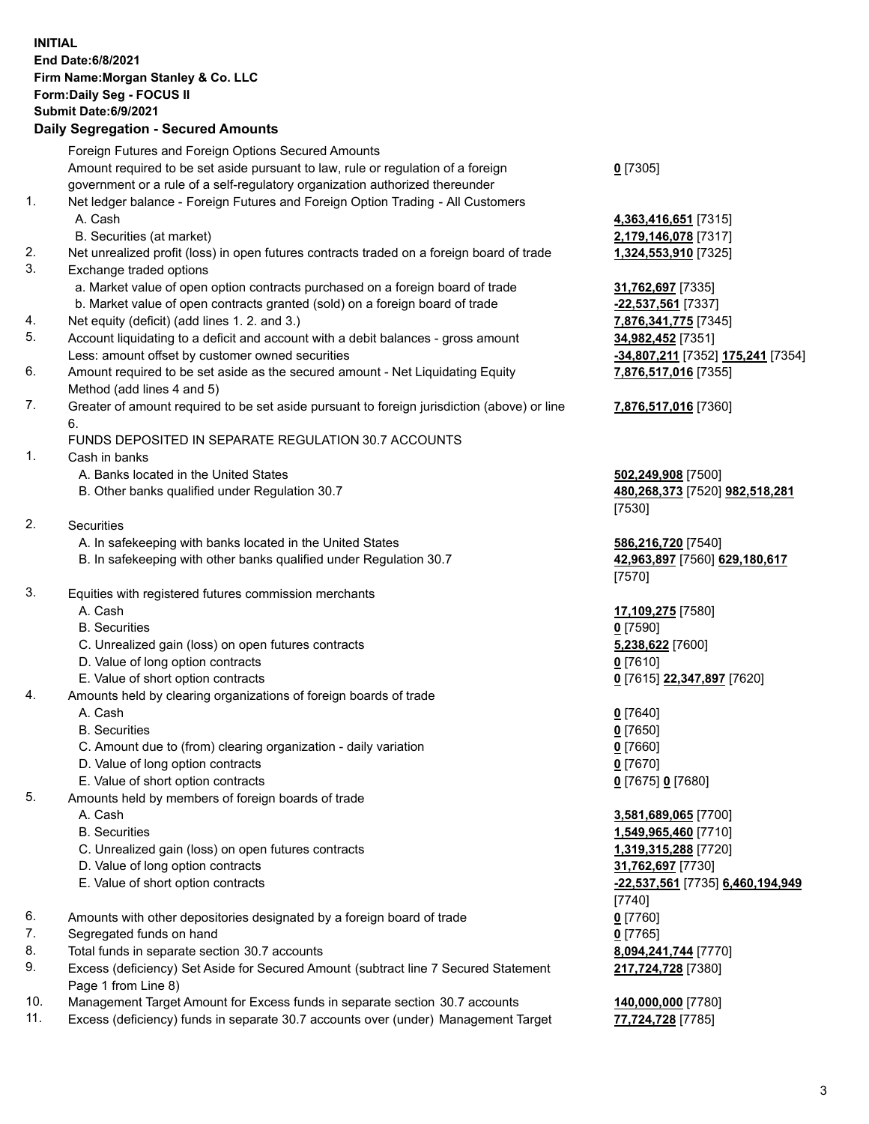## **INITIAL End Date:6/8/2021 Firm Name:Morgan Stanley & Co. LLC Form:Daily Seg - FOCUS II Submit Date:6/9/2021 Daily Segregation - Secured Amounts** Foreign Futures and Foreign Options Secured Amounts Amount required to be set aside pursuant to law, rule or regulation of a foreign government or a rule of a self-regulatory organization authorized thereunder 1. Net ledger balance - Foreign Futures and Foreign Option Trading - All Customers A. Cash **4,363,416,651** [7315] B. Securities (at market) **2,179,146,078** [7317] 2. Net unrealized profit (loss) in open futures contracts traded on a foreign board of trade **1,324,553,910** [7325] 3. Exchange traded options a. Market value of open option contracts purchased on a foreign board of trade **31,762,697** [7335] b. Market value of open contracts granted (sold) on a foreign board of trade **-22,537,561** [7337] 4. Net equity (deficit) (add lines 1. 2. and 3.) **7,876,341,775** [7345] 5. Account liquidating to a deficit and account with a debit balances - gross amount **34,982,452** [7351] Less: amount offset by customer owned securities **-34,807,211** [7352] **175,241** [7354] 6. Amount required to be set aside as the secured amount - Net Liquidating Equity Method (add lines 4 and 5) 7. Greater of amount required to be set aside pursuant to foreign jurisdiction (above) or line 6. FUNDS DEPOSITED IN SEPARATE REGULATION 30.7 ACCOUNTS 1. Cash in banks A. Banks located in the United States **502,249,908** [7500] B. Other banks qualified under Regulation 30.7 **480,268,373** [7520] **982,518,281** 2. Securities A. In safekeeping with banks located in the United States **586,216,720** [7540] B. In safekeeping with other banks qualified under Regulation 30.7 **42,963,897** [7560] **629,180,617** 3. Equities with registered futures commission merchants A. Cash **17,109,275** [7580] B. Securities **0** [7590] C. Unrealized gain (loss) on open futures contracts **5,238,622** [7600] D. Value of long option contracts **0** [7610] E. Value of short option contracts **0** [7615] **22,347,897** [7620] 4. Amounts held by clearing organizations of foreign boards of trade A. Cash **0** [7640] B. Securities **0** [7650] C. Amount due to (from) clearing organization - daily variation **0** [7660] D. Value of long option contracts **0** [7670] E. Value of short option contracts **0** [7675] **0** [7680] 5. Amounts held by members of foreign boards of trade A. Cash **3,581,689,065** [7700] B. Securities **1,549,965,460** [7710] C. Unrealized gain (loss) on open futures contracts **1,319,315,288** [7720]

- D. Value of long option contracts **31,762,697** [7730]
- E. Value of short option contracts **-22,537,561** [7735] **6,460,194,949**
- 6. Amounts with other depositories designated by a foreign board of trade **0** [7760]
- 7. Segregated funds on hand **0** [7765]
- 8. Total funds in separate section 30.7 accounts **8,094,241,744** [7770]
- 9. Excess (deficiency) Set Aside for Secured Amount (subtract line 7 Secured Statement Page 1 from Line 8)
- 10. Management Target Amount for Excess funds in separate section 30.7 accounts **140,000,000** [7780]
- 11. Excess (deficiency) funds in separate 30.7 accounts over (under) Management Target **77,724,728** [7785]

**0** [7305]

**7,876,517,016** [7355]

## **7,876,517,016** [7360]

[7530]

[7570]

[7740] **217,724,728** [7380]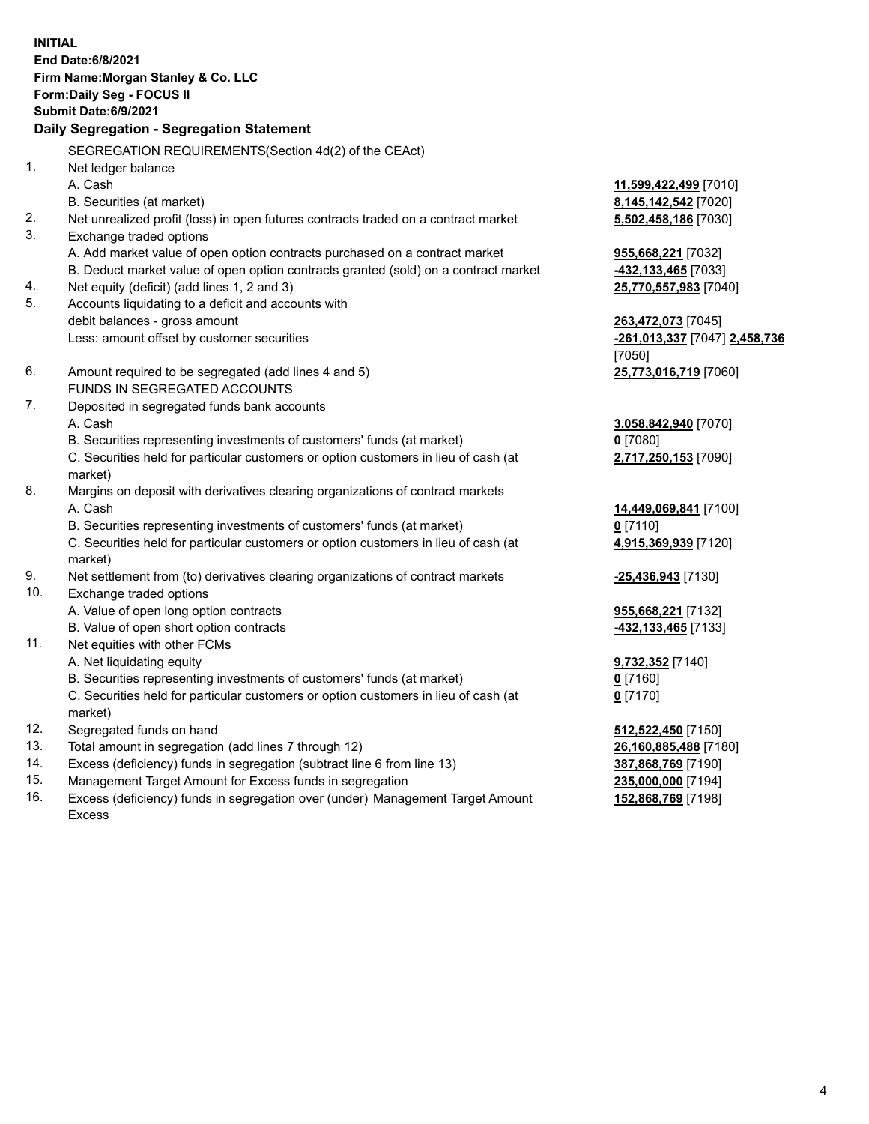|     | <b>INITIAL</b><br>End Date: 6/8/2021<br>Firm Name: Morgan Stanley & Co. LLC<br>Form: Daily Seg - FOCUS II<br><b>Submit Date:6/9/2021</b><br>Daily Segregation - Segregation Statement |                               |
|-----|---------------------------------------------------------------------------------------------------------------------------------------------------------------------------------------|-------------------------------|
|     | SEGREGATION REQUIREMENTS(Section 4d(2) of the CEAct)                                                                                                                                  |                               |
| 1.  | Net ledger balance                                                                                                                                                                    |                               |
|     | A. Cash                                                                                                                                                                               | 11,599,422,499 [7010]         |
|     | B. Securities (at market)                                                                                                                                                             | 8,145,142,542 [7020]          |
| 2.  | Net unrealized profit (loss) in open futures contracts traded on a contract market                                                                                                    | 5,502,458,186 [7030]          |
| 3.  | Exchange traded options                                                                                                                                                               |                               |
|     | A. Add market value of open option contracts purchased on a contract market                                                                                                           | 955,668,221 [7032]            |
|     | B. Deduct market value of open option contracts granted (sold) on a contract market                                                                                                   | 432,133,465 [7033]            |
| 4.  | Net equity (deficit) (add lines 1, 2 and 3)                                                                                                                                           | 25,770,557,983 [7040]         |
| 5.  | Accounts liquidating to a deficit and accounts with                                                                                                                                   |                               |
|     | debit balances - gross amount                                                                                                                                                         | 263,472,073 [7045]            |
|     | Less: amount offset by customer securities                                                                                                                                            | -261,013,337 [7047] 2,458,736 |
|     |                                                                                                                                                                                       | [7050]                        |
| 6.  | Amount required to be segregated (add lines 4 and 5)                                                                                                                                  | 25,773,016,719 [7060]         |
|     | FUNDS IN SEGREGATED ACCOUNTS                                                                                                                                                          |                               |
| 7.  | Deposited in segregated funds bank accounts                                                                                                                                           |                               |
|     | A. Cash                                                                                                                                                                               | 3,058,842,940 [7070]          |
|     | B. Securities representing investments of customers' funds (at market)                                                                                                                | $0$ [7080]                    |
|     | C. Securities held for particular customers or option customers in lieu of cash (at                                                                                                   | 2,717,250,153 [7090]          |
|     | market)                                                                                                                                                                               |                               |
| 8.  | Margins on deposit with derivatives clearing organizations of contract markets                                                                                                        |                               |
|     | A. Cash                                                                                                                                                                               | 14,449,069,841 [7100]         |
|     | B. Securities representing investments of customers' funds (at market)                                                                                                                | $0$ [7110]                    |
|     | C. Securities held for particular customers or option customers in lieu of cash (at                                                                                                   | 4,915,369,939 [7120]          |
|     | market)                                                                                                                                                                               |                               |
| 9.  | Net settlement from (to) derivatives clearing organizations of contract markets                                                                                                       | -25,436,943 [7130]            |
| 10. | Exchange traded options                                                                                                                                                               |                               |
|     | A. Value of open long option contracts                                                                                                                                                | 955,668,221 [7132]            |
|     | B. Value of open short option contracts                                                                                                                                               | 432,133,465 [7133]            |
| 11. | Net equities with other FCMs                                                                                                                                                          |                               |
|     | A. Net liquidating equity                                                                                                                                                             | 9,732,352 [7140]              |
|     | B. Securities representing investments of customers' funds (at market)                                                                                                                | $0$ [7160]                    |
|     | C. Securities held for particular customers or option customers in lieu of cash (at<br>market)                                                                                        | $0$ [7170]                    |
| 12. | Segregated funds on hand                                                                                                                                                              | 512,522,450 [7150]            |
| 13. | Total amount in segregation (add lines 7 through 12)                                                                                                                                  | 26,160,885,488 [7180]         |
| 14. | Excess (deficiency) funds in segregation (subtract line 6 from line 13)                                                                                                               | 387,868,769 [7190]            |
|     |                                                                                                                                                                                       |                               |

15. Management Target Amount for Excess funds in segregation<br>16. Excess (deficiency) funds in segregation over (under) Management Target Amount 152,868,769 [7198] Excess (deficiency) funds in segregation over (under) Management Target Amount Excess

**152,868,769** [7198]